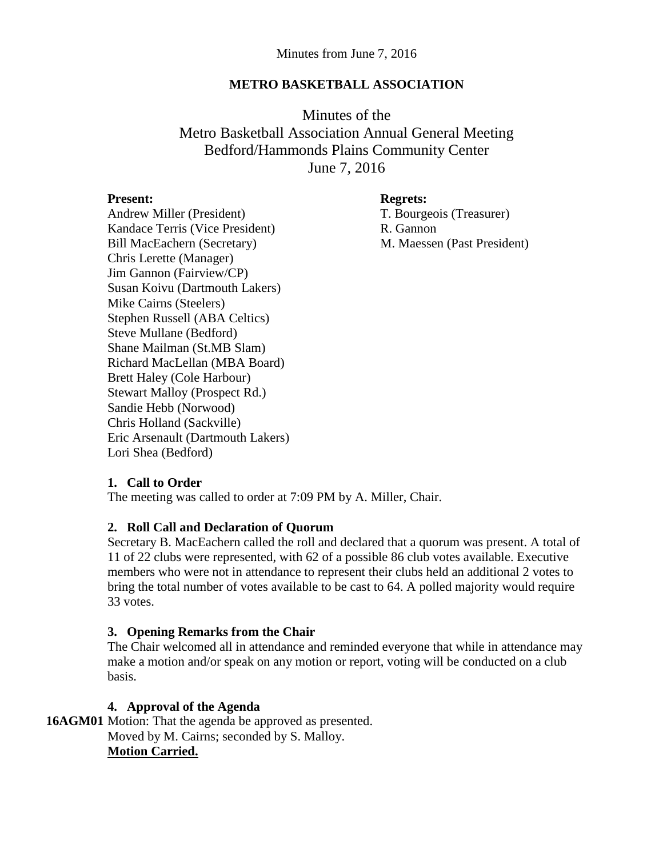### **METRO BASKETBALL ASSOCIATION**

Minutes of the Metro Basketball Association Annual General Meeting Bedford/Hammonds Plains Community Center June 7, 2016

#### **Present: Regrets:**

Andrew Miller (President) T. Bourgeois (Treasurer) Kandace Terris (Vice President) R. Gannon Bill MacEachern (Secretary) M. Maessen (Past President) Chris Lerette (Manager) Jim Gannon (Fairview/CP) Susan Koivu (Dartmouth Lakers) Mike Cairns (Steelers) Stephen Russell (ABA Celtics) Steve Mullane (Bedford) Shane Mailman (St.MB Slam) Richard MacLellan (MBA Board) Brett Haley (Cole Harbour) Stewart Malloy (Prospect Rd.) Sandie Hebb (Norwood) Chris Holland (Sackville) Eric Arsenault (Dartmouth Lakers) Lori Shea (Bedford)

**1. Call to Order**

The meeting was called to order at 7:09 PM by A. Miller, Chair.

### **2. Roll Call and Declaration of Quorum**

Secretary B. MacEachern called the roll and declared that a quorum was present. A total of 11 of 22 clubs were represented, with 62 of a possible 86 club votes available. Executive members who were not in attendance to represent their clubs held an additional 2 votes to bring the total number of votes available to be cast to 64. A polled majority would require 33 votes.

### **3. Opening Remarks from the Chair**

The Chair welcomed all in attendance and reminded everyone that while in attendance may make a motion and/or speak on any motion or report, voting will be conducted on a club basis.

## **4. Approval of the Agenda**

**16AGM01** Motion: That the agenda be approved as presented. Moved by M. Cairns; seconded by S. Malloy. **Motion Carried.**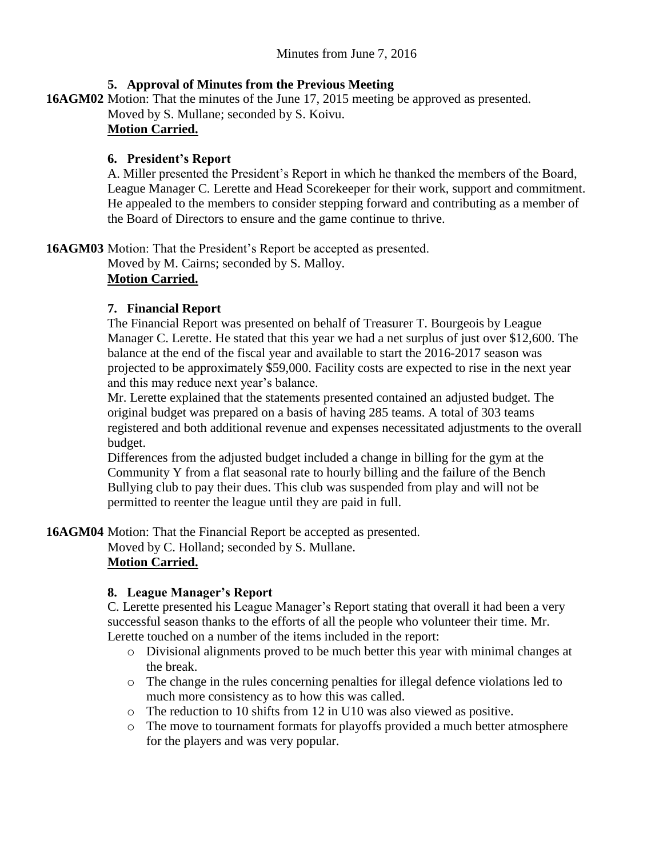## **5. Approval of Minutes from the Previous Meeting**

**16AGM02** Motion: That the minutes of the June 17, 2015 meeting be approved as presented.

Moved by S. Mullane; seconded by S. Koivu.

# **Motion Carried.**

## **6. President's Report**

A. Miller presented the President's Report in which he thanked the members of the Board, League Manager C. Lerette and Head Scorekeeper for their work, support and commitment. He appealed to the members to consider stepping forward and contributing as a member of the Board of Directors to ensure and the game continue to thrive.

**16AGM03** Motion: That the President's Report be accepted as presented.

Moved by M. Cairns; seconded by S. Malloy. **Motion Carried.**

# **7. Financial Report**

The Financial Report was presented on behalf of Treasurer T. Bourgeois by League Manager C. Lerette. He stated that this year we had a net surplus of just over \$12,600. The balance at the end of the fiscal year and available to start the 2016-2017 season was projected to be approximately \$59,000. Facility costs are expected to rise in the next year and this may reduce next year's balance.

Mr. Lerette explained that the statements presented contained an adjusted budget. The original budget was prepared on a basis of having 285 teams. A total of 303 teams registered and both additional revenue and expenses necessitated adjustments to the overall budget.

Differences from the adjusted budget included a change in billing for the gym at the Community Y from a flat seasonal rate to hourly billing and the failure of the Bench Bullying club to pay their dues. This club was suspended from play and will not be permitted to reenter the league until they are paid in full.

**16AGM04** Motion: That the Financial Report be accepted as presented.

Moved by C. Holland; seconded by S. Mullane.

# **Motion Carried.**

# **8. League Manager's Report**

C. Lerette presented his League Manager's Report stating that overall it had been a very successful season thanks to the efforts of all the people who volunteer their time. Mr. Lerette touched on a number of the items included in the report:

- o Divisional alignments proved to be much better this year with minimal changes at the break.
- o The change in the rules concerning penalties for illegal defence violations led to much more consistency as to how this was called.
- o The reduction to 10 shifts from 12 in U10 was also viewed as positive.
- o The move to tournament formats for playoffs provided a much better atmosphere for the players and was very popular.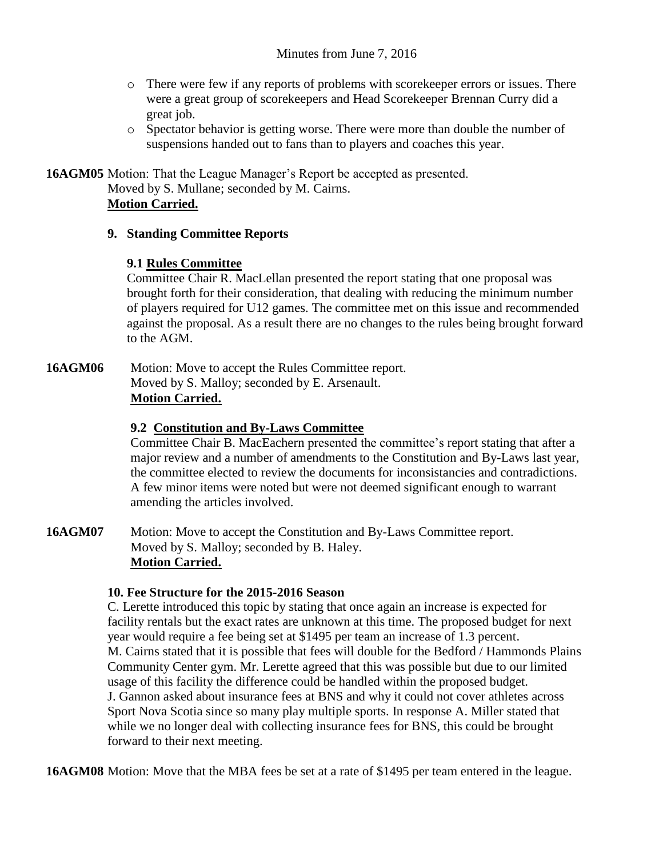- o There were few if any reports of problems with scorekeeper errors or issues. There were a great group of scorekeepers and Head Scorekeeper Brennan Curry did a great job.
- o Spectator behavior is getting worse. There were more than double the number of suspensions handed out to fans than to players and coaches this year.

**16AGM05** Motion: That the League Manager's Report be accepted as presented. Moved by S. Mullane; seconded by M. Cairns. **Motion Carried.**

## **9. Standing Committee Reports**

## **9.1 Rules Committee**

Committee Chair R. MacLellan presented the report stating that one proposal was brought forth for their consideration, that dealing with reducing the minimum number of players required for U12 games. The committee met on this issue and recommended against the proposal. As a result there are no changes to the rules being brought forward to the AGM.

16AGM06 Motion: Move to accept the Rules Committee report. Moved by S. Malloy; seconded by E. Arsenault. **Motion Carried.**

## **9.2 Constitution and By-Laws Committee**

Committee Chair B. MacEachern presented the committee's report stating that after a major review and a number of amendments to the Constitution and By-Laws last year, the committee elected to review the documents for inconsistancies and contradictions. A few minor items were noted but were not deemed significant enough to warrant amending the articles involved.

**16AGM07** Motion: Move to accept the Constitution and By-Laws Committee report. Moved by S. Malloy; seconded by B. Haley. **Motion Carried.**

### **10. Fee Structure for the 2015-2016 Season**

C. Lerette introduced this topic by stating that once again an increase is expected for facility rentals but the exact rates are unknown at this time. The proposed budget for next year would require a fee being set at \$1495 per team an increase of 1.3 percent. M. Cairns stated that it is possible that fees will double for the Bedford / Hammonds Plains Community Center gym. Mr. Lerette agreed that this was possible but due to our limited usage of this facility the difference could be handled within the proposed budget. J. Gannon asked about insurance fees at BNS and why it could not cover athletes across Sport Nova Scotia since so many play multiple sports. In response A. Miller stated that while we no longer deal with collecting insurance fees for BNS, this could be brought forward to their next meeting.

**16AGM08** Motion: Move that the MBA fees be set at a rate of \$1495 per team entered in the league.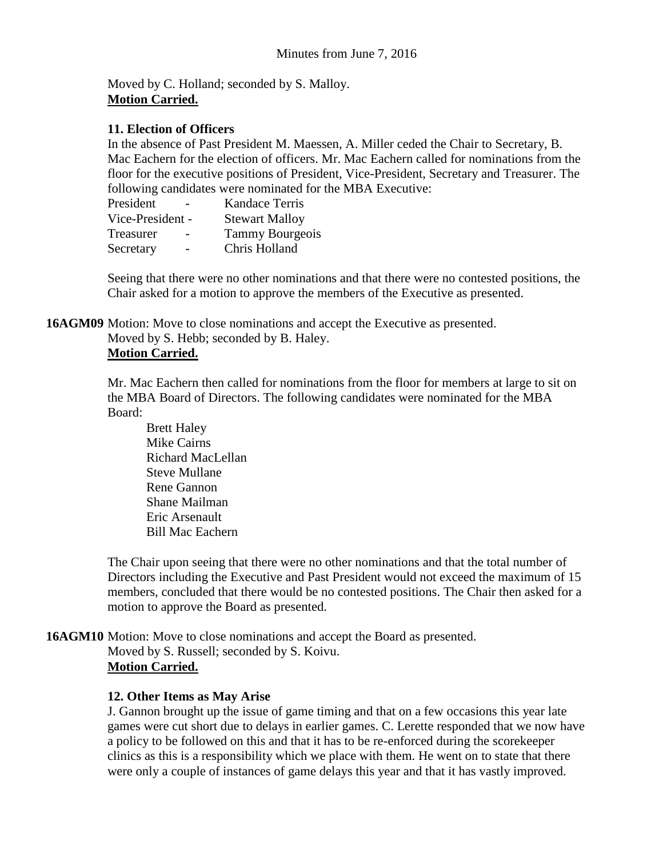Moved by C. Holland; seconded by S. Malloy. **Motion Carried.**

### **11. Election of Officers**

In the absence of Past President M. Maessen, A. Miller ceded the Chair to Secretary, B. Mac Eachern for the election of officers. Mr. Mac Eachern called for nominations from the floor for the executive positions of President, Vice-President, Secretary and Treasurer. The following candidates were nominated for the MBA Executive:

| President        | <b>Kandace Terris</b>  |
|------------------|------------------------|
| Vice-President - | <b>Stewart Malloy</b>  |
| Treasurer        | <b>Tammy Bourgeois</b> |
| Secretary        | Chris Holland          |

Seeing that there were no other nominations and that there were no contested positions, the Chair asked for a motion to approve the members of the Executive as presented.

**16AGM09** Motion: Move to close nominations and accept the Executive as presented.

Moved by S. Hebb; seconded by B. Haley.

## **Motion Carried.**

Mr. Mac Eachern then called for nominations from the floor for members at large to sit on the MBA Board of Directors. The following candidates were nominated for the MBA Board:

Brett Haley Mike Cairns Richard MacLellan Steve Mullane Rene Gannon Shane Mailman Eric Arsenault Bill Mac Eachern

The Chair upon seeing that there were no other nominations and that the total number of Directors including the Executive and Past President would not exceed the maximum of 15 members, concluded that there would be no contested positions. The Chair then asked for a motion to approve the Board as presented.

**16AGM10** Motion: Move to close nominations and accept the Board as presented. Moved by S. Russell; seconded by S. Koivu. **Motion Carried.**

### **12. Other Items as May Arise**

J. Gannon brought up the issue of game timing and that on a few occasions this year late games were cut short due to delays in earlier games. C. Lerette responded that we now have a policy to be followed on this and that it has to be re-enforced during the scorekeeper clinics as this is a responsibility which we place with them. He went on to state that there were only a couple of instances of game delays this year and that it has vastly improved.